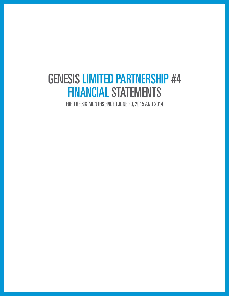# **GENESIS LIMITED PARTNERSHIP #4 FINANCIAL STATEMENTS**

FOR THE SIX MONTHS ENDED JUNE 30, 2015 AND 2014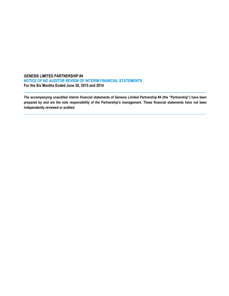## **GENESIS LIMITED PARTNERSHIP #4 NOTICE OF NO AUDITOR REVIEW OF INTERIM FINANCIAL STATEMENTS For the Six Months Ended June 30, 2015 and 2014**

**The accompanying unaudited interim financial statements of Genesis Limited Partnership #4 (the "Partnership") have been prepared by and are the sole responsibility of the Partnership's management. These financial statements have not been independently reviewed or audited.**

**\_\_\_\_\_\_\_\_\_\_\_\_\_\_\_\_\_\_\_\_\_\_\_\_\_\_\_\_\_\_\_\_\_\_\_\_\_\_\_\_\_\_\_\_\_\_\_\_\_\_\_\_\_\_\_\_\_\_\_\_\_\_\_\_\_\_\_\_\_\_\_\_\_\_\_\_\_\_\_\_\_\_\_\_\_\_\_\_\_\_\_\_\_\_\_\_\_\_\_\_\_\_\_\_\_\_\_**

 $\_$  ,  $\_$  ,  $\_$  ,  $\_$  ,  $\_$  ,  $\_$  ,  $\_$  ,  $\_$  ,  $\_$  ,  $\_$  ,  $\_$  ,  $\_$  ,  $\_$  ,  $\_$  ,  $\_$  ,  $\_$  ,  $\_$  ,  $\_$  ,  $\_$  ,  $\_$  ,  $\_$  ,  $\_$  ,  $\_$  ,  $\_$  ,  $\_$  ,  $\_$  ,  $\_$  ,  $\_$  ,  $\_$  ,  $\_$  ,  $\_$  ,  $\_$  ,  $\_$  ,  $\_$  ,  $\_$  ,  $\_$  ,  $\_$  ,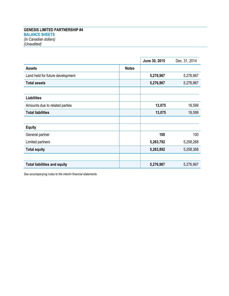# **GENESIS LIMITED PARTNERSHIP #4 BALANCE SHEETS** *(In Canadian dollars) (Unaudited)*

|                                     |              | June 30, 2015 | Dec. 31, 2014 |
|-------------------------------------|--------------|---------------|---------------|
| <b>Assets</b>                       | <b>Notes</b> |               |               |
| Land held for future development    |              | 5,276,967     | 5,276,967     |
| <b>Total assets</b>                 |              | 5,276,967     | 5,276,967     |
| <b>Liabilities</b>                  |              |               |               |
| Amounts due to related parties      |              | 13,075        | 18,599        |
| <b>Total liabilities</b>            |              | 13,075        | 18,599        |
| <b>Equity</b>                       |              |               |               |
| General partner                     |              | 100           | 100           |
| Limited partners                    |              | 5,263,792     | 5,258,268     |
| <b>Total equity</b>                 |              | 5,263,892     | 5,258,368     |
| <b>Total liabilities and equity</b> |              | 5,276,967     | 5,276,967     |

*See accompanying notes to the interim financial statements.*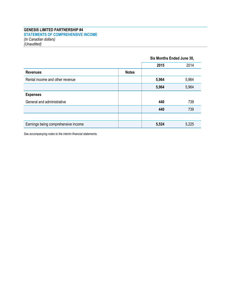# **GENESIS LIMITED PARTNERSHIP #4 STATEMENTS OF COMPREHENSIVE INCOME** *(In Canadian dollars) (Unaudited)*

|                                     |              | Six Months Ended June 30, |       |
|-------------------------------------|--------------|---------------------------|-------|
|                                     |              | 2015                      | 2014  |
| <b>Revenues</b>                     | <b>Notes</b> |                           |       |
| Rental income and other revenue     |              | 5,964                     | 5,964 |
|                                     |              | 5,964                     | 5,964 |
| <b>Expenses</b>                     |              |                           |       |
| General and administrative          |              | 440                       | 739   |
|                                     |              | 440                       | 739   |
|                                     |              |                           |       |
| Earnings being comprehensive income |              | 5,524                     | 5,225 |

*See accompanying notes to the interim financial statements.*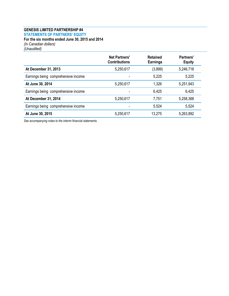## **GENESIS LIMITED PARTNERSHIP #4 STATEMENTS OF PARTNERS' EQUITY For the six months ended June 30, 2015 and 2014** *(In Canadian dollars)*

*(Unaudited)*

|                                     | <b>Net Partners'</b><br><b>Contributions</b> | <b>Retained</b><br><b>Earnings</b> | Partners'<br><b>Equity</b> |
|-------------------------------------|----------------------------------------------|------------------------------------|----------------------------|
| At December 31, 2013                | 5,250,617                                    | (3,899)                            | 5,246,718                  |
| Earnings being comprehensive income |                                              | 5,225                              | 5,225                      |
| At June 30, 2014                    | 5,250,617                                    | 1,326                              | 5,251,943                  |
| Earnings being comprehensive income |                                              | 6,425                              | 6,425                      |
| At December 31, 2014                | 5,250,617                                    | 7,751                              | 5,258,368                  |
| Earnings being comprehensive income |                                              | 5,524                              | 5,524                      |
| At June 30, 2015                    | 5,250,617                                    | 13,275                             | 5,263,892                  |

*See accompanying notes to the interim financial statements.*